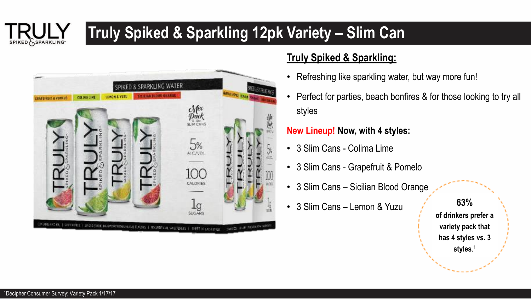# **Truly Spiked & Sparkling 12pk Variety – Slim Can**



### **Truly Spiked & Sparkling:**

- Refreshing like sparkling water, but way more fun!
- Perfect for parties, beach bonfires & for those looking to try all styles

### **New Lineup! Now, with 4 styles:**

- 3 Slim Cans Colima Lime
- 3 Slim Cans Grapefruit & Pomelo
- 3 Slim Cans Sicilian Blood Orange
- 3 Slim Cans Lemon & Yuzu

**63% of drinkers prefer a variety pack that has 4 styles vs. 3 styles**. 1

SPIKED SPARKLING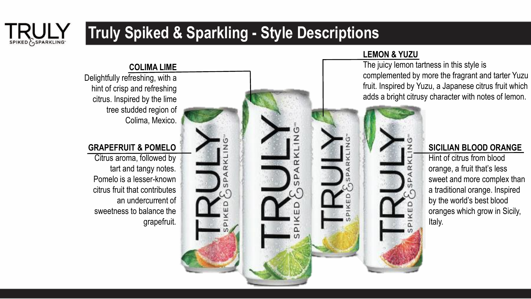# SPIKED SPARKLING

### **Truly Spiked & Sparkling - Style Descriptions**

#### **COLIMA LIME**

Delightfully refreshing, with a hint of crisp and refreshing citrus. Inspired by the lime tree studded region of Colima, Mexico.

#### **GRAPEFRUIT & POMELO**

Citrus aroma, followed by tart and tangy notes. Pomelo is a lesser-known citrus fruit that contributes an undercurrent of sweetness to balance the grapefruit.



#### **LEMON & YUZU**

The juicy lemon tartness in this style is complemented by more the fragrant and tarter Yuzu fruit. Inspired by Yuzu, a Japanese citrus fruit which adds a bright citrusy character with notes of lemon.

#### **SICILIAN BLOOD ORANGE**

Hint of citrus from blood orange, a fruit that's less sweet and more complex than a traditional orange. Inspired by the world's best blood oranges which grow in Sicily, Italy.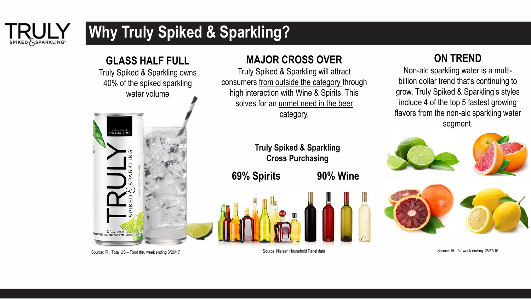

## **Why Truly Spiked & Sparkling?**

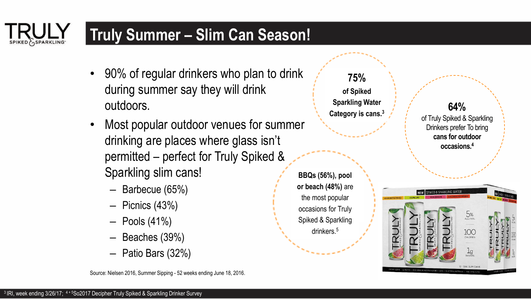### **Truly Summer – Slim Can Season!**

- 90% of regular drinkers who plan to drink during summer say they will drink outdoors.
- Most popular outdoor venues for summer drinking are places where glass isn't permitted – perfect for Truly Spiked & Sparkling slim cans!
	- Barbecue (65%)
	- Picnics (43%)
	- $-$  Pools  $(41%)$
	- Beaches (39%)
	- Patio Bars (32%)

Source: Nielsen 2016, Summer Sipping - 52 weeks ending June 18, 2016.

**75% of Spiked Sparkling Water Category is cans.<sup>3</sup>**

**BBQs (56%), pool or beach (48%)** are the most popular occasions for Truly Spiked & Sparkling drinkers.<sup>5</sup>

**64%**  of Truly Spiked & Sparkling Drinkers prefer To bring **cans for outdoor occasions.<sup>4</sup>**



SPIKED SPARKLING